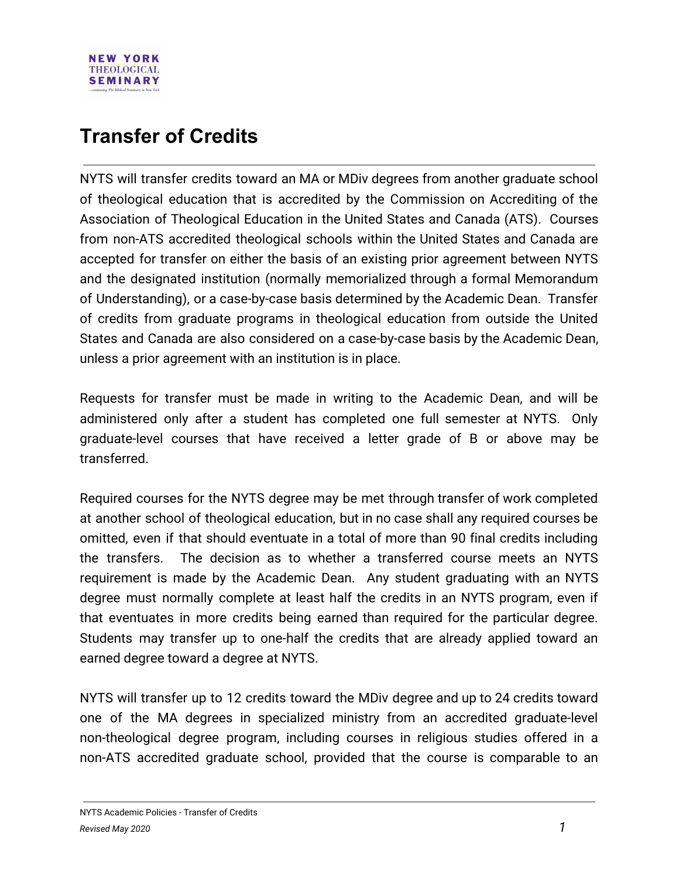

## **Transfer of Credits**

NYTS will transfer credits toward an MA or MDiv degrees from another graduate school of theological education that is accredited by the Commission on Accrediting of the Association of Theological Education in the United States and Canada (ATS). Courses from non-ATS accredited theological schools within the United States and Canada are accepted for transfer on either the basis of an existing prior agreement between NYTS and the designated institution (normally memorialized through a formal Memorandum of Understanding), or a case-by-case basis determined by the Academic Dean. Transfer of credits from graduate programs in theological education from outside the United States and Canada are also considered on a case-by-case basis by the Academic Dean, unless a prior agreement with an institution is in place.

Requests for transfer must be made in writing to the Academic Dean, and will be administered only after a student has completed one full semester at NYTS. Only graduate-level courses that have received a letter grade of B or above may be transferred.

Required courses for the NYTS degree may be met through transfer of work completed at another school of theological education, but in no case shall any required courses be omitted, even if that should eventuate in a total of more than 90 final credits including the transfers. The decision as to whether a transferred course meets an NYTS requirement is made by the Academic Dean. Any student graduating with an NYTS degree must normally complete at least half the credits in an NYTS program, even if that eventuates in more credits being earned than required for the particular degree. Students may transfer up to one-half the credits that are already applied toward an earned degree toward a degree at NYTS.

NYTS will transfer up to 12 credits toward the MDiv degree and up to 24 credits toward one of the MA degrees in specialized ministry from an accredited graduate-level non-theological degree program, including courses in religious studies offered in a non-ATS accredited graduate school, provided that the course is comparable to an